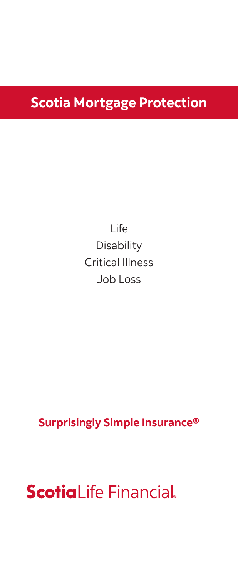# **Scotia Mortgage Protection**

Life Disability Critical Illness Job Loss

**Surprisingly Simple Insurance®**

**ScotiaLife Financial.**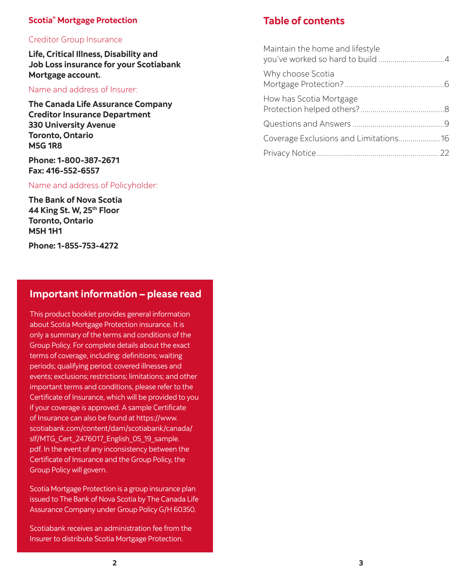#### **Scotia® Mortgage Protection**

#### Creditor Group Insurance

**Life, Critical Illness, Disability and Job Loss insurance for your Scotiabank Mortgage account.**

#### Name and address of Insurer:

**The Canada Life Assurance Company Creditor Insurance Department 330 University Avenue Toronto, Ontario M5G 1R8**

**Phone: 1-800-387-2671 Fax: 416-552-6557**

#### Name and address of Policyholder:

**The Bank of Nova Scotia 44 King St. W, 25th Floor Toronto, Ontario M5H 1H1**

**Phone: 1-855-753-4272**

#### **Important information – please read**

This product booklet provides general information about Scotia Mortgage Protection insurance. It is only a summary of the terms and conditions of the Group Policy. For complete details about the exact terms of coverage, including: definitions; waiting periods; qualifying period; covered illnesses and events; exclusions; restrictions; limitations; and other important terms and conditions, please refer to the Certificate of Insurance, which will be provided to you if your coverage is approved. A sample Certificate of Insurance can also be found at https://www. scotiabank.com/content/dam/scotiabank/canada/ slf/MTG Cert 2476017 English 05 19 sample. pdf. In the event of any inconsistency between the Certificate of Insurance and the Group Policy, the Group Policy will govern.

Scotia Mortgage Protection is a group insurance plan issued to The Bank of Nova Scotia by The Canada Life Assurance Company under Group Policy G/H 60350.

Scotiabank receives an administration fee from the Insurer to distribute Scotia Mortgage Protection.

#### **Table of contents**

| Maintain the home and lifestyle       |  |
|---------------------------------------|--|
| Why choose Scotia                     |  |
| How has Scotia Mortgage               |  |
|                                       |  |
| Coverage Exclusions and Limitations16 |  |
|                                       |  |
|                                       |  |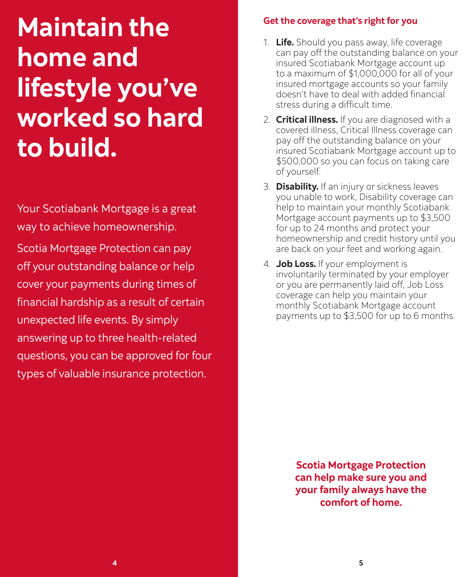# <span id="page-2-0"></span>**Maintain the home and lifestyle you've worked so hard to build.**

Your Scotiabank Mortgage is a great way to achieve homeownership.

Scotia Mortgage Protection can pay off your outstanding balance or help cover your payments during times of financial hardship as a result of certain unexpected life events. By simply answering up to three health-related questions, you can be approved for four types of valuable insurance protection.

#### **Get the coverage that's right for you**

- 1. **Life.** Should you pass away, life coverage can pay off the outstanding balance on your insured Scotiabank Mortgage account up to a maximum of \$1,000,000 for all of your insured mortgage accounts so your family doesn't have to deal with added financial stress during a difficult time.
- 2. **Critical illness.** If you are diagnosed with a covered illness, Critical Illness coverage can pay off the outstanding balance on your insured Scotiabank Mortgage account up to \$500,000 so you can focus on taking care of yourself.
- 3. **Disability.** If an injury or sickness leaves you unable to work, Disability coverage can help to maintain your monthly Scotiabank Mortgage account payments up to \$3,500 for up to 24 months and protect your homeownership and credit history until you are back on your feet and working again.
- 4. **Job Loss.** If your employment is involuntarily terminated by your employer or you are permanently laid off, Job Loss coverage can help you maintain your monthly Scotiabank Mortgage account payments up to \$3,500 for up to 6 months.

**Scotia Mortgage Protection can help make sure you and your family always have the comfort of home.**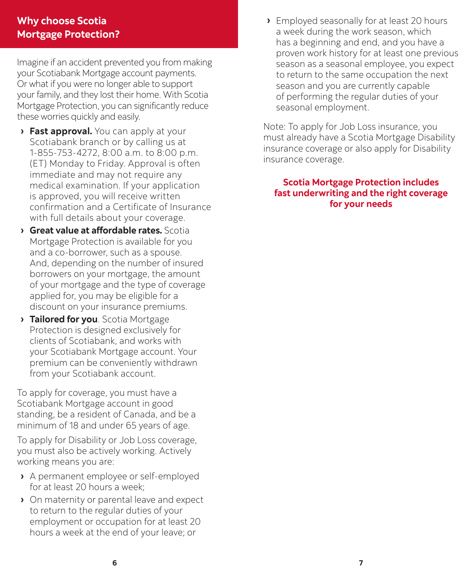#### <span id="page-3-0"></span>**Why choose Scotia Mortgage Protection?**

Imagine if an accident prevented you from making your Scotiabank Mortgage account payments. Or what if you were no longer able to support your family, and they lost their home. With Scotia Mortgage Protection, you can significantly reduce these worries quickly and easily.

- **› Fast approval.** You can apply at your Scotiabank branch or by calling us at 1-855-753-4272, 8:00 a.m. to 8:00 p.m. (ET) Monday to Friday. Approval is often immediate and may not require any medical examination. If your application is approved, you will receive written confirmation and a Certificate of Insurance with full details about your coverage.
- **› Great value at affordable rates.** Scotia Mortgage Protection is available for you and a co-borrower, such as a spouse. And, depending on the number of insured borrowers on your mortgage, the amount of your mortgage and the type of coverage applied for, you may be eligible for a discount on your insurance premiums.
- **› Tailored for you**. Scotia Mortgage Protection is designed exclusively for clients of Scotiabank, and works with your Scotiabank Mortgage account. Your premium can be conveniently withdrawn from your Scotiabank account.

To apply for coverage, you must have a Scotiabank Mortgage account in good standing, be a resident of Canada, and be a minimum of 18 and under 65 years of age.

To apply for Disability or Job Loss coverage, you must also be actively working. Actively working means you are:

- **›** A permanent employee or self-employed for at least 20 hours a week;
- **›** On maternity or parental leave and expect to return to the regular duties of your employment or occupation for at least 20 hours a week at the end of your leave; or

**›** Employed seasonally for at least 20 hours a week during the work season, which has a beginning and end, and you have a proven work history for at least one previous season as a seasonal employee, you expect to return to the same occupation the next season and you are currently capable of performing the regular duties of your seasonal employment.

Note: To apply for Job Loss insurance, you must already have a Scotia Mortgage Disability insurance coverage or also apply for Disability insurance coverage.

#### **Scotia Mortgage Protection includes fast underwriting and the right coverage for your needs**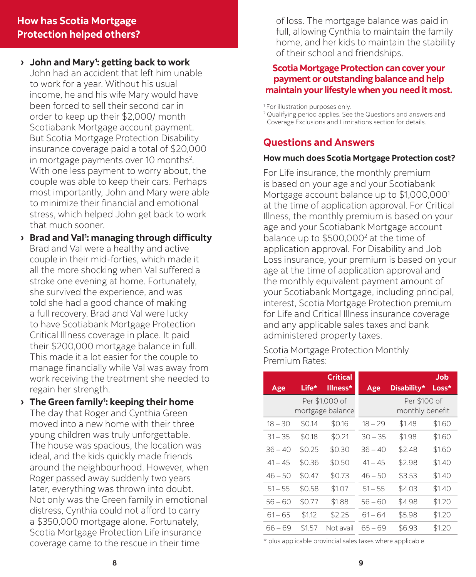#### <span id="page-4-0"></span>**How has Scotia Mortgage Protection helped others?**

- **› John and Mary1 : getting back to work** John had an accident that left him unable to work for a year. Without his usual income, he and his wife Mary would have been forced to sell their second car in order to keep up their \$2,000/ month Scotiabank Mortgage account payment. But Scotia Mortgage Protection Disability insurance coverage paid a total of \$20,000 in mortgage payments over 10 months<sup>2</sup>. With one less payment to worry about, the couple was able to keep their cars. Perhaps most importantly, John and Mary were able to minimize their financial and emotional stress, which helped John get back to work that much sooner.
- **› Brad and Val1 : managing through difficulty** Brad and Val were a healthy and active couple in their mid-forties, which made it all the more shocking when Val suffered a stroke one evening at home. Fortunately, she survived the experience, and was told she had a good chance of making a full recovery. Brad and Val were lucky to have Scotiabank Mortgage Protection Critical Illness coverage in place. It paid their \$200,000 mortgage balance in full. This made it a lot easier for the couple to manage financially while Val was away from work receiving the treatment she needed to regain her strength.
- **› The Green family1 : keeping their home** The day that Roger and Cynthia Green moved into a new home with their three young children was truly unforgettable. The house was spacious, the location was ideal, and the kids quickly made friends around the neighbourhood. However, when Roger passed away suddenly two years later, everything was thrown into doubt. Not only was the Green family in emotional distress, Cynthia could not afford to carry a \$350,000 mortgage alone. Fortunately, Scotia Mortgage Protection Life insurance coverage came to the rescue in their time

of loss. The mortgage balance was paid in full, allowing Cynthia to maintain the family home, and her kids to maintain the stability of their school and friendships.

#### **Scotia Mortgage Protection can cover your payment or outstanding balance and help maintain your lifestyle when you need it most.**

1 For illustration purposes only.

<sup>2</sup> Qualifying period applies. See the Questions and answers and Coverage Exclusions and Limitations section for details.

#### **Questions and Answers**

#### **How much does Scotia Mortgage Protection cost?**

For Life insurance, the monthly premium is based on your age and your Scotiabank Mortgage account balance up to \$1,000,000<sup>1</sup> at the time of application approval. For Critical Illness, the monthly premium is based on your age and your Scotiabank Mortgage account balance up to \$500,000<sup>2</sup> at the time of application approval. For Disability and Job Loss insurance, your premium is based on your age at the time of application approval and the monthly equivalent payment amount of your Scotiabank Mortgage, including principal, interest, Scotia Mortgage Protection premium for Life and Critical Illness insurance coverage and any applicable sales taxes and bank administered property taxes.

Scotia Mortgage Protection Monthly Premium Rates:

| Age                                | Life*  | <b>Critical</b><br>Illness*     | Age       | Disability* | Job<br>Loss* |
|------------------------------------|--------|---------------------------------|-----------|-------------|--------------|
| Per \$1,000 of<br>mortgage balance |        | Per \$100 of<br>monthly benefit |           |             |              |
| $18 - 30$                          | \$0.14 | \$0.16                          | $18 - 29$ | \$1.48      | \$1.60       |
| $31 - 35$                          | \$0.18 | \$0.21                          | $30 - 35$ | \$1.98      | \$1.60       |
| $36 - 40$                          | \$0.25 | \$0.30                          | 36 – 40   | \$2.48      | \$1.60       |
| $41 - 45$                          | \$0.36 | \$0.50                          | 41 – 45   | \$2.98      | \$1.40       |
| $46 - 50$                          | \$0.47 | \$0.73                          | $46 - 50$ | \$3.53      | \$1.40       |
| $51 - 55$                          | \$0.58 | \$1.07                          | $51 - 55$ | \$4.03      | \$1.40       |
| $56 - 60$                          | \$0.77 | \$1.88                          | 56 – 60   | \$4.98      | \$1.20       |
| $61 - 65$                          | \$1.12 | \$2.25                          | $61 - 64$ | \$5.98      | \$1.20       |
| 66 – 69                            | \$1.57 | Not avail                       | 65 – 69   | \$6.93      | \$1.20       |

\* plus applicable provincial sales taxes where applicable.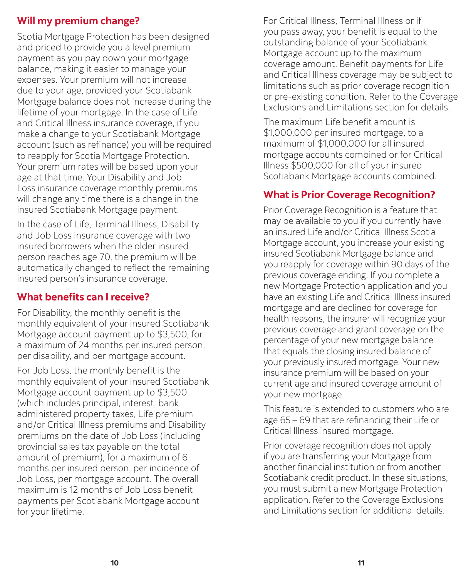## **Will my premium change?**

Scotia Mortgage Protection has been designed and priced to provide you a level premium payment as you pay down your mortgage balance, making it easier to manage your expenses. Your premium will not increase due to your age, provided your Scotiabank Mortgage balance does not increase during the lifetime of your mortgage. In the case of Life and Critical Illness insurance coverage, if you make a change to your Scotiabank Mortgage account (such as refinance) you will be required to reapply for Scotia Mortgage Protection. Your premium rates will be based upon your age at that time. Your Disability and Job Loss insurance coverage monthly premiums will change any time there is a change in the insured Scotiabank Mortgage payment.

In the case of Life, Terminal Illness, Disability and Job Loss insurance coverage with two insured borrowers when the older insured person reaches age 70, the premium will be automatically changed to reflect the remaining insured person's insurance coverage.

## **What benefits can I receive?**

For Disability, the monthly benefit is the monthly equivalent of your insured Scotiabank Mortgage account payment up to \$3,500, for a maximum of 24 months per insured person, per disability, and per mortgage account.

For Job Loss, the monthly benefit is the monthly equivalent of your insured Scotiabank Mortgage account payment up to \$3,500 (which includes principal, interest, bank administered property taxes, Life premium and/or Critical Illness premiums and Disability premiums on the date of Job Loss (including provincial sales tax payable on the total amount of premium), for a maximum of 6 months per insured person, per incidence of Job Loss, per mortgage account. The overall maximum is 12 months of Job Loss benefit payments per Scotiabank Mortgage account for your lifetime.

For Critical Illness, Terminal Illness or if you pass away, your benefit is equal to the outstanding balance of your Scotiabank Mortgage account up to the maximum coverage amount. Benefit payments for Life and Critical Illness coverage may be subject to limitations such as prior coverage recognition or pre-existing condition. Refer to the Coverage Exclusions and Limitations section for details.

The maximum Life benefit amount is \$1,000,000 per insured mortgage, to a maximum of \$1,000,000 for all insured mortgage accounts combined or for Critical Illness \$500,000 for all of your insured Scotiabank Mortgage accounts combined.

#### **What is Prior Coverage Recognition?**

Prior Coverage Recognition is a feature that may be available to you if you currently have an insured Life and/or Critical Illness Scotia Mortgage account, you increase your existing insured Scotiabank Mortgage balance and you reapply for coverage within 90 days of the previous coverage ending. If you complete a new Mortgage Protection application and you have an existing Life and Critical Illness insured mortgage and are declined for coverage for health reasons, the insurer will recognize your previous coverage and grant coverage on the percentage of your new mortgage balance that equals the closing insured balance of your previously insured mortgage. Your new insurance premium will be based on your current age and insured coverage amount of your new mortgage.

This feature is extended to customers who are age 65 – 69 that are refinancing their Life or Critical Illness insured mortgage.

Prior coverage recognition does not apply if you are transferring your Mortgage from another financial institution or from another Scotiabank credit product. In these situations, you must submit a new Mortgage Protection application. Refer to the Coverage Exclusions and Limitations section for additional details.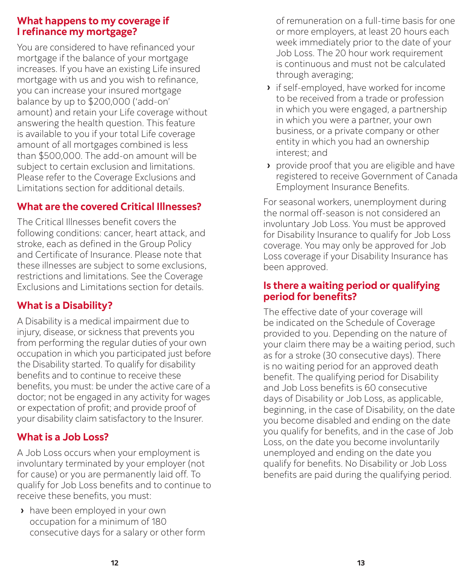#### **What happens to my coverage if I refinance my mortgage?**

You are considered to have refinanced your mortgage if the balance of your mortgage increases. If you have an existing Life insured mortgage with us and you wish to refinance, you can increase your insured mortgage balance by up to \$200,000 ('add-on' amount) and retain your Life coverage without answering the health question. This feature is available to you if your total Life coverage amount of all mortgages combined is less than \$500,000. The add-on amount will be subject to certain exclusion and limitations. Please refer to the Coverage Exclusions and Limitations section for additional details.

## **What are the covered Critical Illnesses?**

The Critical Illnesses benefit covers the following conditions: cancer, heart attack, and stroke, each as defined in the Group Policy and Certificate of Insurance. Please note that these illnesses are subject to some exclusions, restrictions and limitations. See the Coverage Exclusions and Limitations section for details.

#### **What is a Disability?**

A Disability is a medical impairment due to injury, disease, or sickness that prevents you from performing the regular duties of your own occupation in which you participated just before the Disability started. To qualify for disability benefits and to continue to receive these benefits, you must: be under the active care of a doctor; not be engaged in any activity for wages or expectation of profit; and provide proof of your disability claim satisfactory to the Insurer.

#### **What is a Job Loss?**

A Job Loss occurs when your employment is involuntary terminated by your employer (not for cause) or you are permanently laid off. To qualify for Job Loss benefits and to continue to receive these benefits, you must:

**›** have been employed in your own occupation for a minimum of 180 consecutive days for a salary or other form of remuneration on a full-time basis for one or more employers, at least 20 hours each week immediately prior to the date of your Job Loss. The 20 hour work requirement is continuous and must not be calculated through averaging;

- **›** if self-employed, have worked for income to be received from a trade or profession in which you were engaged, a partnership in which you were a partner, your own business, or a private company or other entity in which you had an ownership interest; and
- **›** provide proof that you are eligible and have registered to receive Government of Canada Employment Insurance Benefits.

For seasonal workers, unemployment during the normal off-season is not considered an involuntary Job Loss. You must be approved for Disability Insurance to qualify for Job Loss coverage. You may only be approved for Job Loss coverage if your Disability Insurance has been approved.

#### **Is there a waiting period or qualifying period for benefits?**

The effective date of your coverage will be indicated on the Schedule of Coverage provided to you. Depending on the nature of your claim there may be a waiting period, such as for a stroke (30 consecutive days). There is no waiting period for an approved death benefit. The qualifying period for Disability and Job Loss benefits is 60 consecutive days of Disability or Job Loss, as applicable, beginning, in the case of Disability, on the date you become disabled and ending on the date you qualify for benefits, and in the case of Job Loss, on the date you become involuntarily unemployed and ending on the date you qualify for benefits. No Disability or Job Loss benefits are paid during the qualifying period.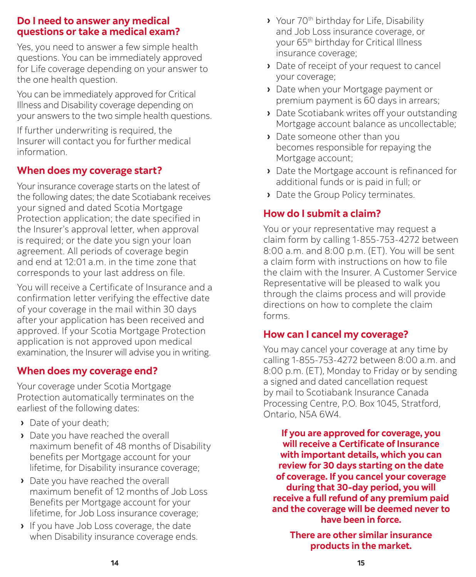#### **Do I need to answer any medical questions or take a medical exam?**

Yes, you need to answer a few simple health questions. You can be immediately approved for Life coverage depending on your answer to the one health question.

You can be immediately approved for Critical Illness and Disability coverage depending on your answers to the two simple health questions.

If further underwriting is required, the Insurer will contact you for further medical information.

## **When does my coverage start?**

Your insurance coverage starts on the latest of the following dates; the date Scotiabank receives your signed and dated Scotia Mortgage Protection application; the date specified in the Insurer's approval letter, when approval is required; or the date you sign your loan agreement. All periods of coverage begin and end at 12:01 a.m. in the time zone that corresponds to your last address on file.

You will receive a Certificate of Insurance and a confirmation letter verifying the effective date of your coverage in the mail within 30 days after your application has been received and approved. If your Scotia Mortgage Protection application is not approved upon medical examination, the Insurer will advise you in writing.

#### **When does my coverage end?**

Your coverage under Scotia Mortgage Protection automatically terminates on the earliest of the following dates:

- **›** Date of your death;
- **›** Date you have reached the overall maximum benefit of 48 months of Disability benefits per Mortgage account for your lifetime, for Disability insurance coverage;
- **›** Date you have reached the overall maximum benefit of 12 months of Job Loss Benefits per Mortgage account for your lifetime, for Job Loss insurance coverage;
- **›** If you have Job Loss coverage, the date when Disability insurance coverage ends.
- **›** Your 70th birthday for Life, Disability and Job Loss insurance coverage, or your 65th birthday for Critical Illness insurance coverage;
- **›** Date of receipt of your request to cancel your coverage;
- **›** Date when your Mortgage payment or premium payment is 60 days in arrears;
- **›** Date Scotiabank writes off your outstanding Mortgage account balance as uncollectable;
- **›** Date someone other than you becomes responsible for repaying the Mortgage account;
- **›** Date the Mortgage account is refinanced for additional funds or is paid in full; or
- **›** Date the Group Policy terminates.

# **How do I submit a claim?**

You or your representative may request a claim form by calling 1-855-753-4272 between 8:00 a.m. and 8:00 p.m. (ET). You will be sent a claim form with instructions on how to file the claim with the Insurer. A Customer Service Representative will be pleased to walk you through the claims process and will provide directions on how to complete the claim forms.

#### **How can I cancel my coverage?**

You may cancel your coverage at any time by calling 1-855-753-4272 between 8:00 a.m. and 8:00 p.m. (ET), Monday to Friday or by sending a signed and dated cancellation request by mail to Scotiabank Insurance Canada Processing Centre, P.O. Box 1045, Stratford, Ontario, N5A 6W4.

**If you are approved for coverage, you will receive a Certificate of Insurance with important details, which you can review for 30 days starting on the date of coverage. If you cancel your coverage during that 30-day period, you will receive a full refund of any premium paid and the coverage will be deemed never to have been in force.**

**There are other similar insurance products in the market.**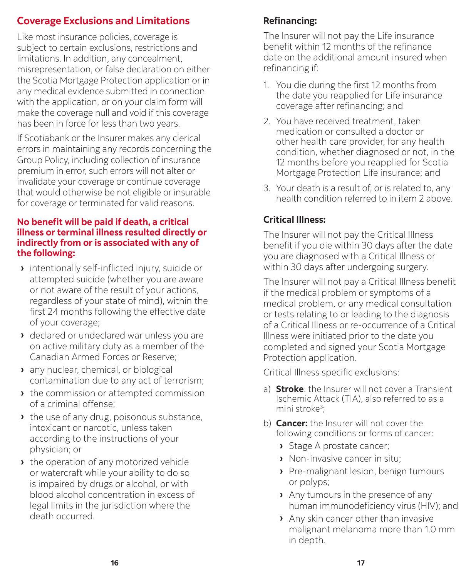# <span id="page-8-0"></span>**Coverage Exclusions and Limitations**

Like most insurance policies, coverage is subject to certain exclusions, restrictions and limitations. In addition, any concealment, misrepresentation, or false declaration on either the Scotia Mortgage Protection application or in any medical evidence submitted in connection with the application, or on your claim form will make the coverage null and void if this coverage has been in force for less than two years.

If Scotiabank or the Insurer makes any clerical errors in maintaining any records concerning the Group Policy, including collection of insurance premium in error, such errors will not alter or invalidate your coverage or continue coverage that would otherwise be not eligible or insurable for coverage or terminated for valid reasons.

#### **No benefit will be paid if death, a critical illness or terminal illness resulted directly or indirectly from or is associated with any of the following:**

- **›** intentionally self-inflicted injury, suicide or attempted suicide (whether you are aware or not aware of the result of your actions, regardless of your state of mind), within the first 24 months following the effective date of your coverage;
- **›** declared or undeclared war unless you are on active military duty as a member of the Canadian Armed Forces or Reserve;
- **›** any nuclear, chemical, or biological contamination due to any act of terrorism;
- **›** the commission or attempted commission of a criminal offense;
- **›** the use of any drug, poisonous substance, intoxicant or narcotic, unless taken according to the instructions of your physician; or
- **›** the operation of any motorized vehicle or watercraft while your ability to do so is impaired by drugs or alcohol, or with blood alcohol concentration in excess of legal limits in the jurisdiction where the death occurred.

# **Refinancing:**

The Insurer will not pay the Life insurance benefit within 12 months of the refinance date on the additional amount insured when refinancing if:

- 1. You die during the first 12 months from the date you reapplied for Life insurance coverage after refinancing; and
- 2. You have received treatment, taken medication or consulted a doctor or other health care provider, for any health condition, whether diagnosed or not, in the 12 months before you reapplied for Scotia Mortgage Protection Life insurance; and
- 3. Your death is a result of, or is related to, any health condition referred to in item 2 above.

# **Critical Illness:**

The Insurer will not pay the Critical Illness benefit if you die within 30 days after the date you are diagnosed with a Critical Illness or within 30 days after undergoing surgery.

The Insurer will not pay a Critical Illness benefit if the medical problem or symptoms of a medical problem, or any medical consultation or tests relating to or leading to the diagnosis of a Critical Illness or re-occurrence of a Critical Illness were initiated prior to the date you completed and signed your Scotia Mortgage Protection application.

Critical Illness specific exclusions:

- a) **Stroke**: the Insurer will not cover a Transient Ischemic Attack (TIA), also referred to as a mini stroke<sup>3</sup>;
- b) **Cancer:** the Insurer will not cover the following conditions or forms of cancer:
	- **›** Stage A prostate cancer;
	- **›** Non-invasive cancer in situ;
	- **›** Pre-malignant lesion, benign tumours or polyps;
	- **›** Any tumours in the presence of any human immunodeficiency virus (HIV); and
	- **›** Any skin cancer other than invasive malignant melanoma more than 1.0 mm in depth.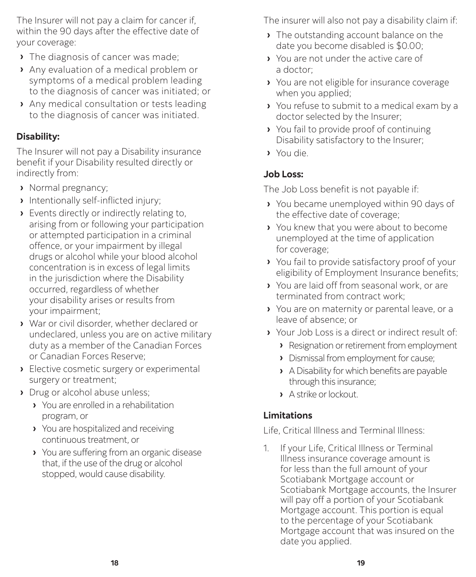The Insurer will not pay a claim for cancer if, within the 90 days after the effective date of your coverage:

- **›** The diagnosis of cancer was made;
- **›** Any evaluation of a medical problem or symptoms of a medical problem leading to the diagnosis of cancer was initiated; or
- **›** Any medical consultation or tests leading to the diagnosis of cancer was initiated.

#### **Disability:**

The Insurer will not pay a Disability insurance benefit if your Disability resulted directly or indirectly from:

- **›** Normal pregnancy;
- **›** Intentionally self-inflicted injury;
- **›** Events directly or indirectly relating to, arising from or following your participation or attempted participation in a criminal offence, or your impairment by illegal drugs or alcohol while your blood alcohol concentration is in excess of legal limits in the jurisdiction where the Disability occurred, regardless of whether your disability arises or results from your impairment;
- **›** War or civil disorder, whether declared or undeclared, unless you are on active military duty as a member of the Canadian Forces or Canadian Forces Reserve;
- **›** Elective cosmetic surgery or experimental surgery or treatment;
- **›** Drug or alcohol abuse unless;
	- **›** You are enrolled in a rehabilitation program, or
	- **›** You are hospitalized and receiving continuous treatment, or
	- **›** You are suffering from an organic disease that, if the use of the drug or alcohol stopped, would cause disability.

The insurer will also not pay a disability claim if:

- **›** The outstanding account balance on the date you become disabled is \$0.00;
- **›** You are not under the active care of a doctor;
- **›** You are not eligible for insurance coverage when you applied;
- **›** You refuse to submit to a medical exam by a doctor selected by the Insurer;
- **›** You fail to provide proof of continuing Disability satisfactory to the Insurer;
- **›** You die.

#### **Job Loss:**

The Job Loss benefit is not payable if:

- **›** You became unemployed within 90 days of the effective date of coverage;
- **›** You knew that you were about to become unemployed at the time of application for coverage;
- **›** You fail to provide satisfactory proof of your eligibility of Employment Insurance benefits;
- **›** You are laid off from seasonal work, or are terminated from contract work;
- **›** You are on maternity or parental leave, or a leave of absence; or
- **›** Your Job Loss is a direct or indirect result of:
	- **›** Resignation or retirement from employment
	- **›** Dismissal from employment for cause;
	- **›** A Disability for which benefits are payable through this insurance;
	- **›** A strike or lockout.

## **Limitations**

Life, Critical Illness and Terminal Illness:

1. If your Life, Critical Illness or Terminal Illness insurance coverage amount is for less than the full amount of your Scotiabank Mortgage account or Scotiabank Mortgage accounts, the Insurer will pay off a portion of your Scotiabank Mortgage account. This portion is equal to the percentage of your Scotiabank Mortgage account that was insured on the date you applied.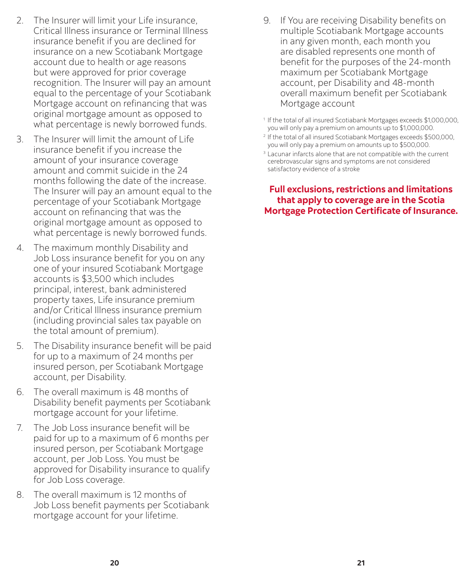- 2. The Insurer will limit your Life insurance, Critical Illness insurance or Terminal Illness insurance benefit if you are declined for insurance on a new Scotiabank Mortgage account due to health or age reasons but were approved for prior coverage recognition. The Insurer will pay an amount equal to the percentage of your Scotiabank Mortgage account on refinancing that was original mortgage amount as opposed to what percentage is newly borrowed funds.
- 3. The Insurer will limit the amount of Life insurance benefit if you increase the amount of your insurance coverage amount and commit suicide in the 24 months following the date of the increase. The Insurer will pay an amount equal to the percentage of your Scotiabank Mortgage account on refinancing that was the original mortgage amount as opposed to what percentage is newly borrowed funds.
- 4. The maximum monthly Disability and Job Loss insurance benefit for you on any one of your insured Scotiabank Mortgage accounts is \$3,500 which includes principal, interest, bank administered property taxes, Life insurance premium and/or Critical Illness insurance premium (including provincial sales tax payable on the total amount of premium).
- 5. The Disability insurance benefit will be paid for up to a maximum of 24 months per insured person, per Scotiabank Mortgage account, per Disability.
- 6. The overall maximum is 48 months of Disability benefit payments per Scotiabank mortgage account for your lifetime.
- 7. The Job Loss insurance benefit will be paid for up to a maximum of 6 months per insured person, per Scotiabank Mortgage account, per Job Loss. You must be approved for Disability insurance to qualify for Job Loss coverage.
- 8. The overall maximum is 12 months of Job Loss benefit payments per Scotiabank mortgage account for your lifetime.

9. If You are receiving Disability benefits on multiple Scotiabank Mortgage accounts in any given month, each month you are disabled represents one month of benefit for the purposes of the 24-month maximum per Scotiabank Mortgage account, per Disability and 48-month overall maximum benefit per Scotiabank Mortgage account

1 If the total of all insured Scotiabank Mortgages exceeds \$1,000,000, you will only pay a premium on amounts up to \$1,000,000.

- 2 If the total of all insured Scotiabank Mortgages exceeds \$500,000, you will only pay a premium on amounts up to \$500,000.
- <sup>3</sup> Lacunar infarcts alone that are not compatible with the current cerebrovascular signs and symptoms are not considered satisfactory evidence of a stroke

**Full exclusions, restrictions and limitations that apply to coverage are in the Scotia Mortgage Protection Certificate of Insurance.**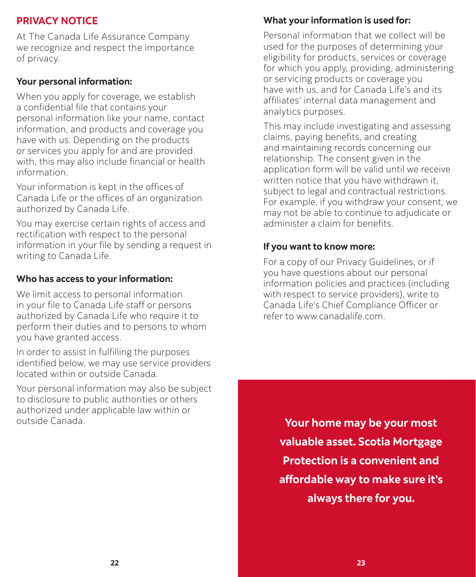## <span id="page-11-0"></span>**PRIVACY NOTICE**

At The Canada Life Assurance Company we recognize and respect the importance of privacy.

#### **Your personal information:**

When you apply for coverage, we establish a confidential file that contains your personal information like your name, contact information, and products and coverage you have with us. Depending on the products or services you apply for and are provided with, this may also include financial or health information.

Your information is kept in the offices of Canada Life or the offices of an organization authorized by Canada Life.

You may exercise certain rights of access and rectification with respect to the personal information in your file by sending a request in writing to Canada Life.

#### **Who has access to your information:**

We limit access to personal information in your file to Canada Life staff or persons authorized by Canada Life who require it to perform their duties and to persons to whom you have granted access.

In order to assist in fulfilling the purposes identified below, we may use service providers located within or outside Canada.

Your personal information may also be subject to disclosure to public authorities or others authorized under applicable law within or outside Canada.

#### **What your information is used for:**

Personal information that we collect will be used for the purposes of determining your eligibility for products, services or coverage for which you apply, providing, administering or servicing products or coverage you have with us, and for Canada Life's and its affiliates' internal data management and analytics purposes.

This may include investigating and assessing claims, paying benefits, and creating and maintaining records concerning our relationship. The consent given in the application form will be valid until we receive written notice that you have withdrawn it, subject to legal and contractual restrictions. For example, if you withdraw your consent, we may not be able to continue to adjudicate or administer a claim for benefits.

#### **If you want to know more:**

For a copy of our Privacy Guidelines, or if you have questions about our personal information policies and practices (including with respect to service providers), write to Canada Life's Chief Compliance Officer or refer to www.canadalife.com.

**Your home may be your most valuable asset. Scotia Mortgage Protection is a convenient and affordable way to make sure it's always there for you.**